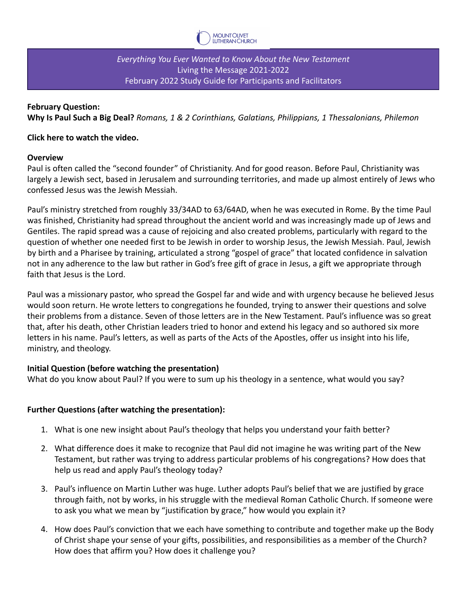

*Everything You Ever Wanted to Know About the New Testament* Living the Message 2021-2022 February 2022 Study Guide for Participants and Facilitators

## **February Question:**

**Why Is Paul Such a Big Deal?** *Romans, 1 & 2 Corinthians, Galatians, Philippians, 1 Thessalonians, Philemon*

#### **Click here to watch the video.**

#### **Overview**

Paul is often called the "second founder" of Christianity. And for good reason. Before Paul, Christianity was largely a Jewish sect, based in Jerusalem and surrounding territories, and made up almost entirely of Jews who confessed Jesus was the Jewish Messiah.

Paul's ministry stretched from roughly 33/34AD to 63/64AD, when he was executed in Rome. By the time Paul was finished, Christianity had spread throughout the ancient world and was increasingly made up of Jews and Gentiles. The rapid spread was a cause of rejoicing and also created problems, particularly with regard to the question of whether one needed first to be Jewish in order to worship Jesus, the Jewish Messiah. Paul, Jewish by birth and a Pharisee by training, articulated a strong "gospel of grace" that located confidence in salvation not in any adherence to the law but rather in God's free gift of grace in Jesus, a gift we appropriate through faith that Jesus is the Lord.

Paul was a missionary pastor, who spread the Gospel far and wide and with urgency because he believed Jesus would soon return. He wrote letters to congregations he founded, trying to answer their questions and solve their problems from a distance. Seven of those letters are in the New Testament. Paul's influence was so great that, after his death, other Christian leaders tried to honor and extend his legacy and so authored six more letters in his name. Paul's letters, as well as parts of the Acts of the Apostles, offer us insight into his life, ministry, and theology.

## **Initial Question (before watching the presentation)**

What do you know about Paul? If you were to sum up his theology in a sentence, what would you say?

## **Further Questions (after watching the presentation):**

- 1. What is one new insight about Paul's theology that helps you understand your faith better?
- 2. What difference does it make to recognize that Paul did not imagine he was writing part of the New Testament, but rather was trying to address particular problems of his congregations? How does that help us read and apply Paul's theology today?
- 3. Paul's influence on Martin Luther was huge. Luther adopts Paul's belief that we are justified by grace through faith, not by works, in his struggle with the medieval Roman Catholic Church. If someone were to ask you what we mean by "justification by grace," how would you explain it?
- 4. How does Paul's conviction that we each have something to contribute and together make up the Body of Christ shape your sense of your gifts, possibilities, and responsibilities as a member of the Church? How does that affirm you? How does it challenge you?